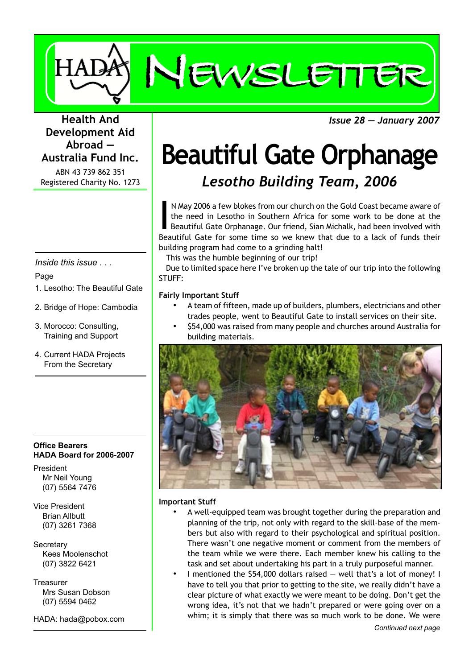

*Issue 28 — January 2007*

### **Health And Development Aid Abroad — Australia Fund Inc.**

ABN 43 739 862 351 Registered Charity No. 1273

*Inside this issue . . .*

#### Page

- 1. Lesotho: The Beautiful Gate
- 2. Bridge of Hope: Cambodia
- 3. Morocco: Consulting, Training and Support
- 4. Current HADA Projects From the Secretary

#### **Office Bearers HADA Board for 2006-2007**

President Mr Neil Young (07) 5564 7476

Vice President Brian Allbutt (07) 3261 7368

**Secretary** Kees Moolenschot (07) 3822 6421

**Treasurer** Mrs Susan Dobson (07) 5594 0462

HADA: hada@pobox.com

## **Beautiful Gate Orphanage** *Lesotho Building Team, 2006*

IM May 2006 a few blokes from our church on the Gold Coast became aware of the need in Lesotho in Southern Africa for some work to be done at the Beautiful Gate Orphanage. Our friend, Sian Michalk, had been involved with B N May 2006 a few blokes from our church on the Gold Coast became aware of the need in Lesotho in Southern Africa for some work to be done at the Beautiful Gate Orphanage. Our friend, Sian Michalk, had been involved with building program had come to a grinding halt!

This was the humble beginning of our trip!

Due to limited space here I've broken up the tale of our trip into the following STUFF:

#### **Fairly Important Stuff**

- A team of fifteen, made up of builders, plumbers, electricians and other trades people, went to Beautiful Gate to install services on their site.
- \$54,000 was raised from many people and churches around Australia for building materials.



#### **Important Stuff**

- A well-equipped team was brought together during the preparation and planning of the trip, not only with regard to the skill-base of the members but also with regard to their psychological and spiritual position. There wasn't one negative moment or comment from the members of the team while we were there. Each member knew his calling to the task and set about undertaking his part in a truly purposeful manner.
- I mentioned the \$54,000 dollars raised well that's a lot of money! I have to tell you that prior to getting to the site, we really didn't have a clear picture of what exactly we were meant to be doing. Don't get the wrong idea, it's not that we hadn't prepared or were going over on a whim; it is simply that there was so much work to be done. We were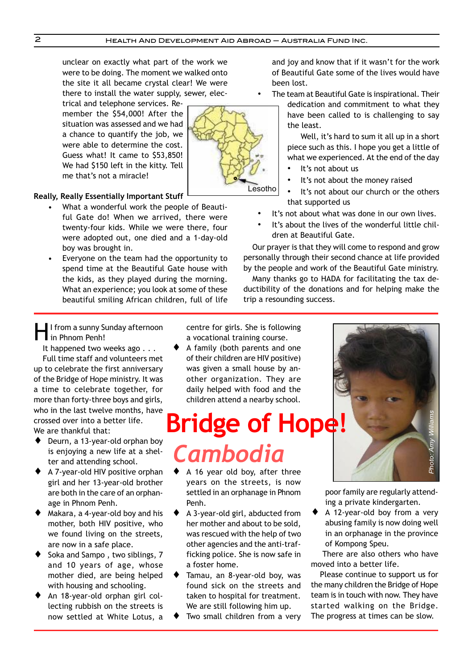unclear on exactly what part of the work we were to be doing. The moment we walked onto the site it all became crystal clear! We were there to install the water supply, sewer, elec-

trical and telephone services. Remember the \$54,000! After the situation was assessed and we had a chance to quantify the job, we were able to determine the cost. Guess what! It came to \$53,850! We had \$150 left in the kitty. Tell me that's not a miracle!



#### **Really, Really Essentially Important Stuff**

- What a wonderful work the people of Beautiful Gate do! When we arrived, there were twenty-four kids. While we were there, four were adopted out, one died and a 1-day-old boy was brought in.
- Everyone on the team had the opportunity to spend time at the Beautiful Gate house with the kids, as they played during the morning. What an experience; you look at some of these beautiful smiling African children, full of life

and joy and know that if it wasn't for the work of Beautiful Gate some of the lives would have been lost.

The team at Beautiful Gate is inspirational. Their

dedication and commitment to what they have been called to is challenging to say the least.

Well, it's hard to sum it all up in a short piece such as this. I hope you get a little of what we experienced. At the end of the day

- It's not about us
- It's not about the money raised
- It's not about our church or the others that supported us
- It's not about what was done in our own lives.
- It's about the lives of the wonderful little children at Beautiful Gate.

Our prayer is that they will come to respond and grow personally through their second chance at life provided by the people and work of the Beautiful Gate ministry.

Many thanks go to HADA for facilitating the tax deductibility of the donations and for helping make the trip a resounding success.

I I from a sunny Sunday afternoon in Phnom Penh!

It happened two weeks ago . . . Full time staff and volunteers met up to celebrate the first anniversary of the Bridge of Hope ministry. It was a time to celebrate together, for more than forty-three boys and girls, who in the last twelve months, have crossed over into a better life. We are thankful that:

- ◆ Deurn, a 13-year-old orphan boy is enjoying a new life at a shelter and attending school.
- ♦ A 7-year-old HIV positive orphan girl and her 13-year-old brother are both in the care of an orphanage in Phnom Penh.
- Makara, a 4-year-old boy and his mother, both HIV positive, who we found living on the streets, are now in a safe place.
- Soka and Sampo, two siblings, 7 and 10 years of age, whose mother died, are being helped with housing and schooling.
- An 18-year-old orphan girl collecting rubbish on the streets is now settled at White Lotus, a

centre for girls. She is following a vocational training course.

A family (both parents and one of their children are HIV positive) was given a small house by another organization. They are daily helped with food and the children attend a nearby school.

# **Bridge of Hope!**  *Cambodia*

- ♦ A 16 year old boy, after three years on the streets, is now settled in an orphanage in Phnom Penh.
- ♦ A 3-year-old girl, abducted from her mother and about to be sold, was rescued with the help of two other agencies and the anti-trafficking police. She is now safe in a foster home.
- ♦ Tamau, an 8-year-old boy, was found sick on the streets and taken to hospital for treatment. We are still following him up.
- Two small children from a very



poor family are regularly attending a private kindergarten.

♦ A 12-year-old boy from a very abusing family is now doing well in an orphanage in the province of Kompong Speu.

There are also others who have moved into a better life.

Please continue to support us for the many children the Bridge of Hope team is in touch with now. They have started walking on the Bridge. The progress at times can be slow.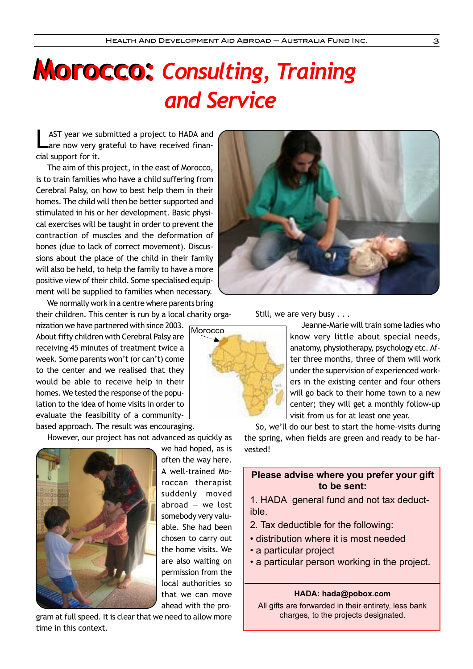# **Morocco:** *Consulting, Training* **Morocco:**  *and Service*

AST year we submitted a project to HADA and are now very grateful to have received financial support for it.

The aim of this project, in the east of Morocco, is to train families who have a child suffering from Cerebral Palsy, on how to best help them in their homes. The child will then be better supported and stimulated in his or her development. Basic physical exercises will be taught in order to prevent the contraction of muscles and the deformation of bones (due to lack of correct movement). Discussions about the place of the child in their family will also be held, to help the family to have a more positive view of their child. Some specialised equipment will be supplied to families when necessary.

We normally work in a centre where parents bring their children. This center is run by a local charity orga-

nization we have partnered with since 2003. About fifty children with Cerebral Palsy are receiving 45 minutes of treatment twice a week. Some parents won't (or can't) come to the center and we realised that they would be able to receive help in their homes. We tested the response of the population to the idea of home visits in order to evaluate the feasibility of a communitybased approach. The result was encouraging.

However, our project has not advanced as quickly as



we had hoped, as is often the way here. A well-trained Moroccan therapist suddenly moved abroad  $-$  we lost somebody very valuable. She had been chosen to carry out the home visits. We are also waiting on permission from the local authorities so that we can move ahead with the pro-

**Morocco** 

gram at full speed. It is clear that we need to allow more time in this context.



Still, we are very busy  $\ldots$ 

Jeanne-Marie will train some ladies who know very little about special needs, anatomy, physiotherapy, psychology etc. After three months, three of them will work under the supervision of experienced workers in the existing center and four others will go back to their home town to a new center; they will get a monthly follow-up visit from us for at least one year.

So, we'll do our best to start the home-visits during the spring, when fields are green and ready to be harvested!

#### **Please advise where you prefer your gift to be sent:**

1. HADA general fund and not tax deductible.

- 2. Tax deductible for the following:
- distribution where it is most needed
- a particular project
- a particular person working in the project.

#### **HADA: hada@pobox.com**

All gifts are forwarded in their entirety, less bank charges, to the projects designated.